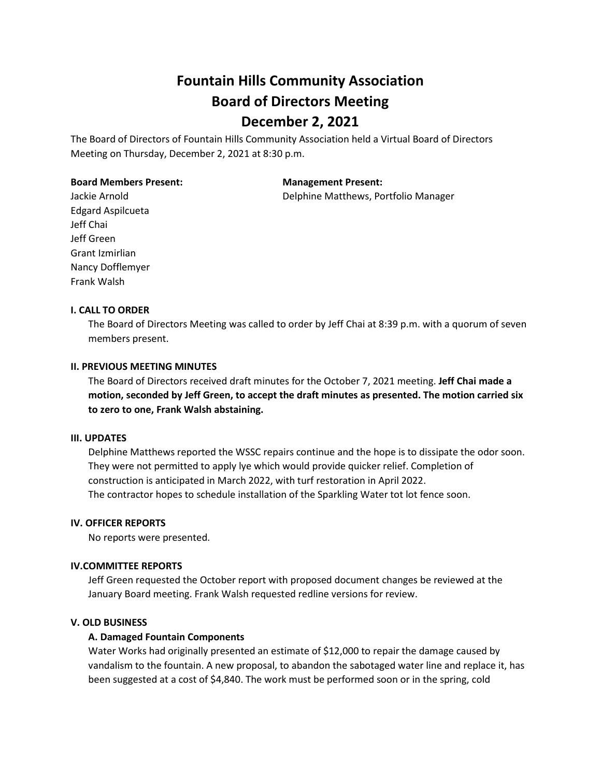# **Fountain Hills Community Association Board of Directors Meeting December 2, 2021**

The Board of Directors of Fountain Hills Community Association held a Virtual Board of Directors Meeting on Thursday, December 2, 2021 at 8:30 p.m.

#### **Board Members Present: Management Present:**

Jackie Arnold Delphine Matthews, Portfolio Manager

Edgard Aspilcueta Jeff Chai Jeff Green Grant Izmirlian Nancy Dofflemyer Frank Walsh

## **I. CALL TO ORDER**

The Board of Directors Meeting was called to order by Jeff Chai at 8:39 p.m. with a quorum of seven members present.

## **II. PREVIOUS MEETING MINUTES**

The Board of Directors received draft minutes for the October 7, 2021 meeting. **Jeff Chai made a motion, seconded by Jeff Green, to accept the draft minutes as presented. The motion carried six to zero to one, Frank Walsh abstaining.**

## **III. UPDATES**

Delphine Matthews reported the WSSC repairs continue and the hope is to dissipate the odor soon. They were not permitted to apply lye which would provide quicker relief. Completion of construction is anticipated in March 2022, with turf restoration in April 2022. The contractor hopes to schedule installation of the Sparkling Water tot lot fence soon.

## **IV. OFFICER REPORTS**

No reports were presented.

## **IV.COMMITTEE REPORTS**

Jeff Green requested the October report with proposed document changes be reviewed at the January Board meeting. Frank Walsh requested redline versions for review.

## **V. OLD BUSINESS**

## **A. Damaged Fountain Components**

Water Works had originally presented an estimate of \$12,000 to repair the damage caused by vandalism to the fountain. A new proposal, to abandon the sabotaged water line and replace it, has been suggested at a cost of \$4,840. The work must be performed soon or in the spring, cold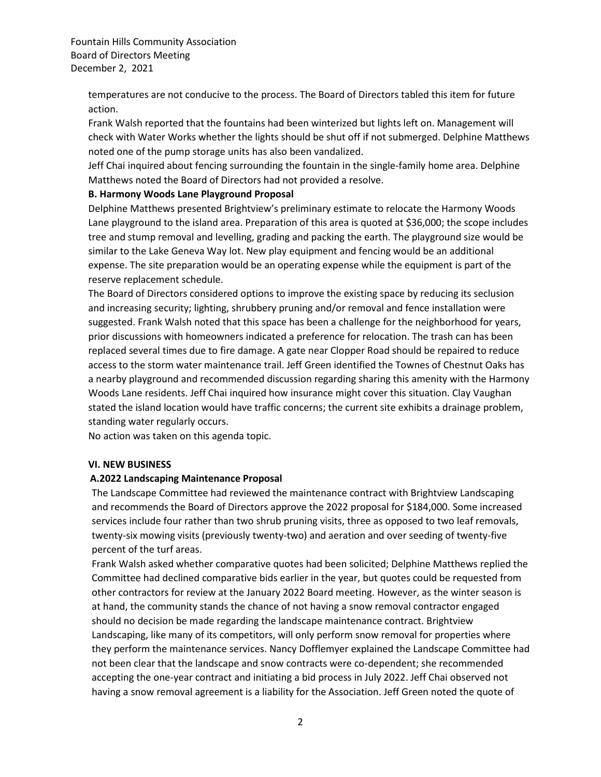Fountain Hills Community Association Board of Directors Meeting December 2, 2021

> temperatures are not conducive to the process. The Board of Directors tabled this item for future action.

Frank Walsh reported that the fountains had been winterized but lights left on. Management will check with Water Works whether the lights should be shut off if not submerged. Delphine Matthews noted one of the pump storage units has also been vandalized.

Jeff Chai inquired about fencing surrounding the fountain in the single-family home area. Delphine Matthews noted the Board of Directors had not provided a resolve.

## **B. Harmony Woods Lane Playground Proposal**

Delphine Matthews presented Brightview's preliminary estimate to relocate the Harmony Woods Lane playground to the island area. Preparation of this area is quoted at \$36,000; the scope includes tree and stump removal and levelling, grading and packing the earth. The playground size would be similar to the Lake Geneva Way lot. New play equipment and fencing would be an additional expense. The site preparation would be an operating expense while the equipment is part of the reserve replacement schedule.

The Board of Directors considered options to improve the existing space by reducing its seclusion and increasing security; lighting, shrubbery pruning and/or removal and fence installation were suggested. Frank Walsh noted that this space has been a challenge for the neighborhood for years, prior discussions with homeowners indicated a preference for relocation. The trash can has been replaced several times due to fire damage. A gate near Clopper Road should be repaired to reduce access to the storm water maintenance trail. Jeff Green identified the Townes of Chestnut Oaks has a nearby playground and recommended discussion regarding sharing this amenity with the Harmony Woods Lane residents. Jeff Chai inquired how insurance might cover this situation. Clay Vaughan stated the island location would have traffic concerns; the current site exhibits a drainage problem, standing water regularly occurs.

No action was taken on this agenda topic.

## **VI. NEW BUSINESS**

## **A.2022 Landscaping Maintenance Proposal**

The Landscape Committee had reviewed the maintenance contract with Brightview Landscaping and recommends the Board of Directors approve the 2022 proposal for \$184,000. Some increased services include four rather than two shrub pruning visits, three as opposed to two leaf removals, twenty-six mowing visits (previously twenty-two) and aeration and over seeding of twenty-five percent of the turf areas.

Frank Walsh asked whether comparative quotes had been solicited; Delphine Matthews replied the Committee had declined comparative bids earlier in the year, but quotes could be requested from other contractors for review at the January 2022 Board meeting. However, as the winter season is at hand, the community stands the chance of not having a snow removal contractor engaged should no decision be made regarding the landscape maintenance contract. Brightview Landscaping, like many of its competitors, will only perform snow removal for properties where they perform the maintenance services. Nancy Dofflemyer explained the Landscape Committee had not been clear that the landscape and snow contracts were co-dependent; she recommended accepting the one-year contract and initiating a bid process in July 2022. Jeff Chai observed not having a snow removal agreement is a liability for the Association. Jeff Green noted the quote of